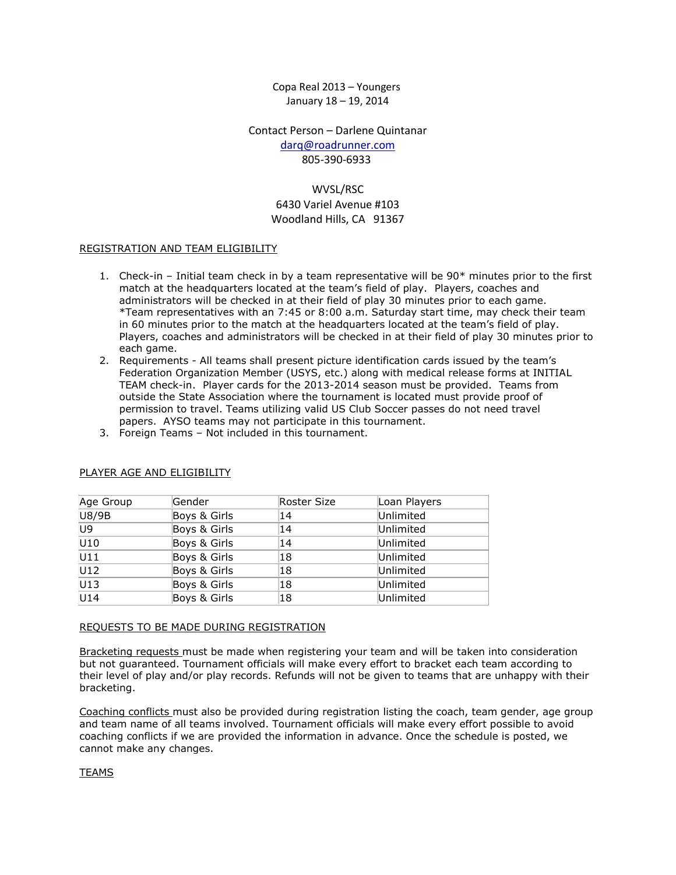Copa Real 2013 – Youngers January 18 – 19, 2014

Contact Person – Darlene Quintanar [darq@roadrunner.com](mailto:darq@roadrunner.com?subject=2013%20Copa%20Real) 805-390-6933

# WVSL/RSC

#### 6430 Variel Avenue #103 Woodland Hills, CA 91367

#### REGISTRATION AND TEAM ELIGIBILITY

- 1. Check-in Initial team check in by a team representative will be 90\* minutes prior to the first match at the headquarters located at the team's field of play. Players, coaches and administrators will be checked in at their field of play 30 minutes prior to each game. \*Team representatives with an 7:45 or 8:00 a.m. Saturday start time, may check their team in 60 minutes prior to the match at the headquarters located at the team's field of play. Players, coaches and administrators will be checked in at their field of play 30 minutes prior to each game.
- 2. Requirements All teams shall present picture identification cards issued by the team's Federation Organization Member (USYS, etc.) along with medical release forms at INITIAL TEAM check-in. Player cards for the 2013-2014 season must be provided. Teams from outside the State Association where the tournament is located must provide proof of permission to travel. Teams utilizing valid US Club Soccer passes do not need travel papers. AYSO teams may not participate in this tournament.
- 3. Foreign Teams Not included in this tournament.

| Age Group | Gender       | Roster Size | Loan Players |  |
|-----------|--------------|-------------|--------------|--|
| U8/9B     | Boys & Girls | 14          | Unlimited    |  |
| U9        | Boys & Girls | 14          | Unlimited    |  |
| U10       | Boys & Girls | 14          | Unlimited    |  |
| U11       | Boys & Girls | 18          | Unlimited    |  |
| U12       | Boys & Girls | 18          | Unlimited    |  |
| U13       | Boys & Girls | 18          | Unlimited    |  |
| U14       | Boys & Girls | 18          | Unlimited    |  |

#### PLAYER AGE AND ELIGIBILITY

#### REQUESTS TO BE MADE DURING REGISTRATION

Bracketing requests must be made when registering your team and will be taken into consideration but not guaranteed. Tournament officials will make every effort to bracket each team according to their level of play and/or play records. Refunds will not be given to teams that are unhappy with their bracketing.

Coaching conflicts must also be provided during registration listing the coach, team gender, age group and team name of all teams involved. Tournament officials will make every effort possible to avoid coaching conflicts if we are provided the information in advance. Once the schedule is posted, we cannot make any changes.

#### TEAMS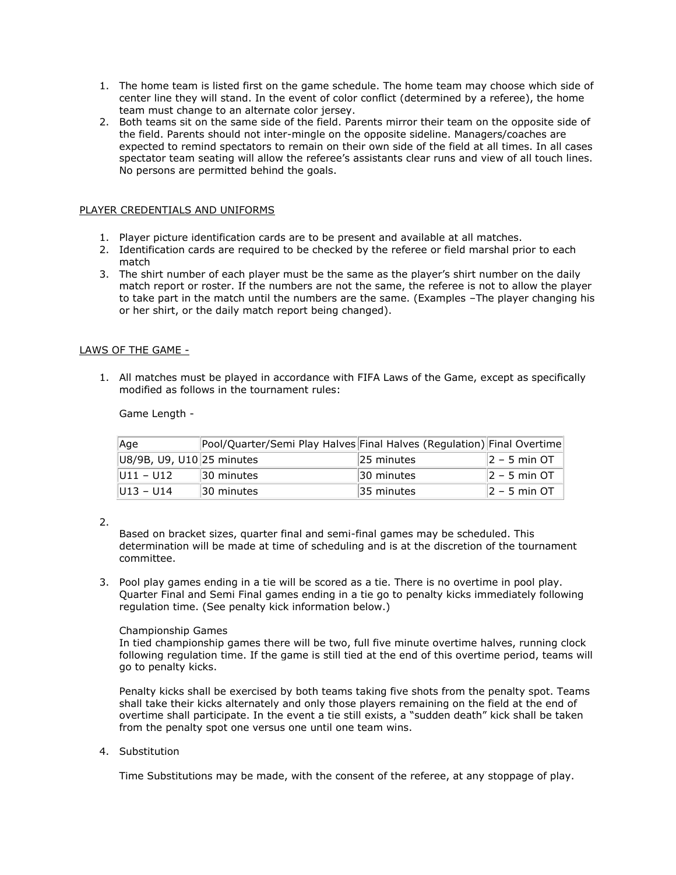- 1. The home team is listed first on the game schedule. The home team may choose which side of center line they will stand. In the event of color conflict (determined by a referee), the home team must change to an alternate color jersey.
- 2. Both teams sit on the same side of the field. Parents mirror their team on the opposite side of the field. Parents should not inter-mingle on the opposite sideline. Managers/coaches are expected to remind spectators to remain on their own side of the field at all times. In all cases spectator team seating will allow the referee's assistants clear runs and view of all touch lines. No persons are permitted behind the goals.

# PLAYER CREDENTIALS AND UNIFORMS

- 1. Player picture identification cards are to be present and available at all matches.
- 2. Identification cards are required to be checked by the referee or field marshal prior to each match
- 3. The shirt number of each player must be the same as the player's shirt number on the daily match report or roster. If the numbers are not the same, the referee is not to allow the player to take part in the match until the numbers are the same. (Examples –The player changing his or her shirt, or the daily match report being changed).

# LAWS OF THE GAME -

1. All matches must be played in accordance with FIFA Laws of the Game, except as specifically modified as follows in the tournament rules:

Game Length -

| Aqe                       | Pool/Quarter/Semi Play Halves Final Halves (Regulation) Final Overtime |            |                              |
|---------------------------|------------------------------------------------------------------------|------------|------------------------------|
| U8/9B, U9, U10 25 minutes |                                                                        | 25 minutes | $ 2 - 5$ min OT              |
| $ U11 - U12 $             | 30 minutes                                                             | 30 minutes | $\vert 2 - 5 \rangle$ min OT |
| $ U13 - U14 $             | 30 minutes                                                             | 35 minutes | $ 2 - 5$ min OT              |

2.

Based on bracket sizes, quarter final and semi-final games may be scheduled. This determination will be made at time of scheduling and is at the discretion of the tournament committee.

3. Pool play games ending in a tie will be scored as a tie. There is no overtime in pool play. Quarter Final and Semi Final games ending in a tie go to penalty kicks immediately following regulation time. (See penalty kick information below.)

# Championship Games

In tied championship games there will be two, full five minute overtime halves, running clock following regulation time. If the game is still tied at the end of this overtime period, teams will go to penalty kicks.

Penalty kicks shall be exercised by both teams taking five shots from the penalty spot. Teams shall take their kicks alternately and only those players remaining on the field at the end of overtime shall participate. In the event a tie still exists, a "sudden death" kick shall be taken from the penalty spot one versus one until one team wins.

# 4. Substitution

Time Substitutions may be made, with the consent of the referee, at any stoppage of play.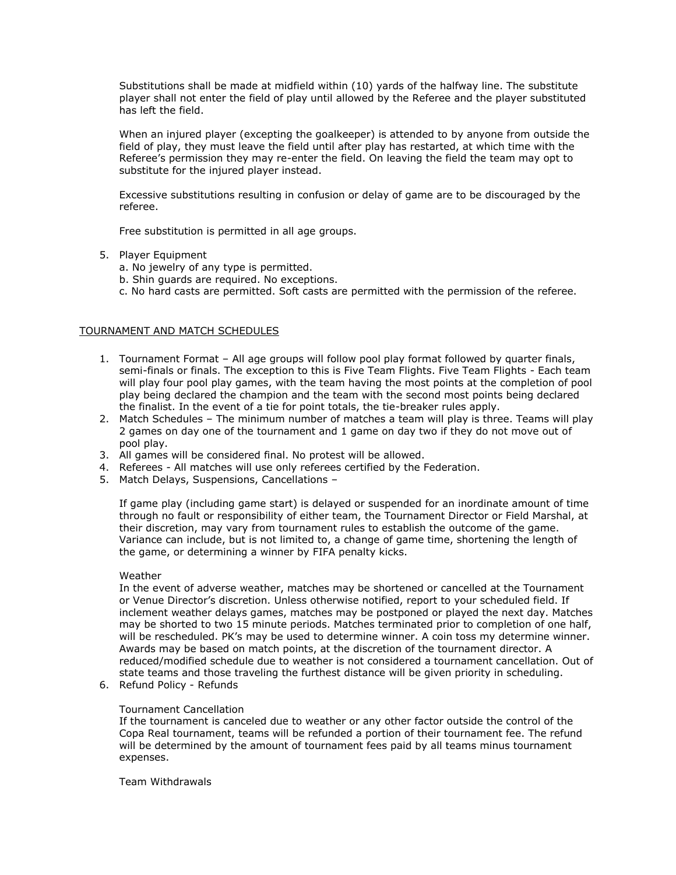Substitutions shall be made at midfield within (10) yards of the halfway line. The substitute player shall not enter the field of play until allowed by the Referee and the player substituted has left the field.

When an injured player (excepting the goalkeeper) is attended to by anyone from outside the field of play, they must leave the field until after play has restarted, at which time with the Referee's permission they may re-enter the field. On leaving the field the team may opt to substitute for the injured player instead.

Excessive substitutions resulting in confusion or delay of game are to be discouraged by the referee.

Free substitution is permitted in all age groups.

- 5. Player Equipment
	- a. No jewelry of any type is permitted.
	- b. Shin guards are required. No exceptions.
	- c. No hard casts are permitted. Soft casts are permitted with the permission of the referee.

### TOURNAMENT AND MATCH SCHEDULES

- 1. Tournament Format All age groups will follow pool play format followed by quarter finals, semi-finals or finals. The exception to this is Five Team Flights. Five Team Flights - Each team will play four pool play games, with the team having the most points at the completion of pool play being declared the champion and the team with the second most points being declared the finalist. In the event of a tie for point totals, the tie-breaker rules apply.
- 2. Match Schedules The minimum number of matches a team will play is three. Teams will play 2 games on day one of the tournament and 1 game on day two if they do not move out of pool play.
- 3. All games will be considered final. No protest will be allowed.
- 4. Referees All matches will use only referees certified by the Federation.
- 5. Match Delays, Suspensions, Cancellations –

If game play (including game start) is delayed or suspended for an inordinate amount of time through no fault or responsibility of either team, the Tournament Director or Field Marshal, at their discretion, may vary from tournament rules to establish the outcome of the game. Variance can include, but is not limited to, a change of game time, shortening the length of the game, or determining a winner by FIFA penalty kicks.

#### Weather

In the event of adverse weather, matches may be shortened or cancelled at the Tournament or Venue Director's discretion. Unless otherwise notified, report to your scheduled field. If inclement weather delays games, matches may be postponed or played the next day. Matches may be shorted to two 15 minute periods. Matches terminated prior to completion of one half, will be rescheduled. PK's may be used to determine winner. A coin toss my determine winner. Awards may be based on match points, at the discretion of the tournament director. A reduced/modified schedule due to weather is not considered a tournament cancellation. Out of state teams and those traveling the furthest distance will be given priority in scheduling.

6. Refund Policy - Refunds

#### Tournament Cancellation

If the tournament is canceled due to weather or any other factor outside the control of the Copa Real tournament, teams will be refunded a portion of their tournament fee. The refund will be determined by the amount of tournament fees paid by all teams minus tournament expenses.

Team Withdrawals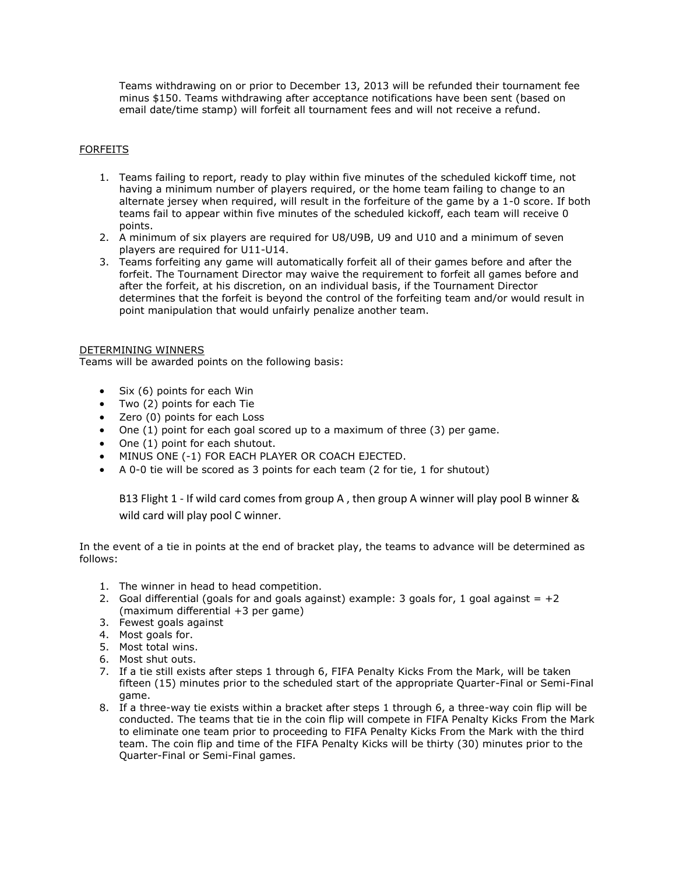Teams withdrawing on or prior to December 13, 2013 will be refunded their tournament fee minus \$150. Teams withdrawing after acceptance notifications have been sent (based on email date/time stamp) will forfeit all tournament fees and will not receive a refund.

## FORFEITS

- 1. Teams failing to report, ready to play within five minutes of the scheduled kickoff time, not having a minimum number of players required, or the home team failing to change to an alternate jersey when required, will result in the forfeiture of the game by a 1-0 score. If both teams fail to appear within five minutes of the scheduled kickoff, each team will receive 0 points.
- 2. A minimum of six players are required for U8/U9B, U9 and U10 and a minimum of seven players are required for U11-U14.
- 3. Teams forfeiting any game will automatically forfeit all of their games before and after the forfeit. The Tournament Director may waive the requirement to forfeit all games before and after the forfeit, at his discretion, on an individual basis, if the Tournament Director determines that the forfeit is beyond the control of the forfeiting team and/or would result in point manipulation that would unfairly penalize another team.

### DETERMINING WINNERS

Teams will be awarded points on the following basis:

- Six (6) points for each Win
- Two (2) points for each Tie
- Zero (0) points for each Loss
- One (1) point for each goal scored up to a maximum of three (3) per game.
- One (1) point for each shutout.
- MINUS ONE (-1) FOR EACH PLAYER OR COACH EJECTED.
- A 0-0 tie will be scored as 3 points for each team (2 for tie, 1 for shutout)

B13 Flight 1 - If wild card comes from group A , then group A winner will play pool B winner & wild card will play pool C winner.

In the event of a tie in points at the end of bracket play, the teams to advance will be determined as follows:

- 1. The winner in head to head competition.
- 2. Goal differential (goals for and goals against) example: 3 goals for, 1 goal against  $= +2$ (maximum differential +3 per game)
- 3. Fewest goals against
- 4. Most goals for.
- 5. Most total wins.
- 6. Most shut outs.
- 7. If a tie still exists after steps 1 through 6, FIFA Penalty Kicks From the Mark, will be taken fifteen (15) minutes prior to the scheduled start of the appropriate Quarter-Final or Semi-Final game.
- 8. If a three-way tie exists within a bracket after steps 1 through 6, a three-way coin flip will be conducted. The teams that tie in the coin flip will compete in FIFA Penalty Kicks From the Mark to eliminate one team prior to proceeding to FIFA Penalty Kicks From the Mark with the third team. The coin flip and time of the FIFA Penalty Kicks will be thirty (30) minutes prior to the Quarter-Final or Semi-Final games.